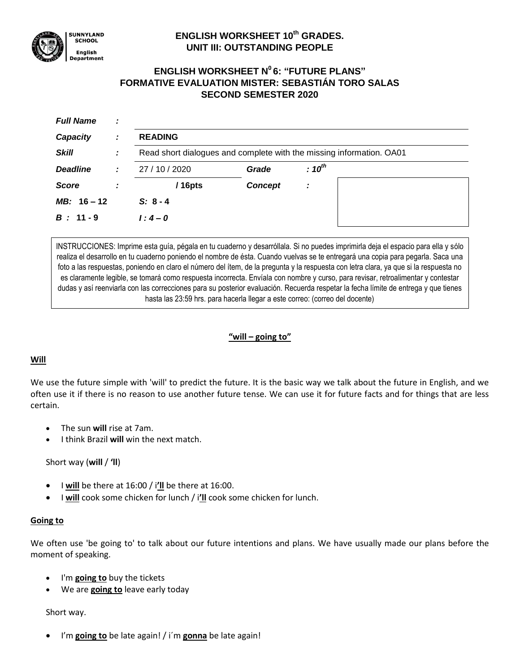

# **ENGLISH WORKSHEET 10th GRADES. UNIT III: OUTSTANDING PEOPLE**

# **ENGLISH WORKSHEET N<sup>0</sup>6: "FUTURE PLANS" FORMATIVE EVALUATION MISTER: SEBASTIÁN TORO SALAS SECOND SEMESTER 2020**

| <b>Full Name</b> | ÷ |                                                                      |                |             |  |  |
|------------------|---|----------------------------------------------------------------------|----------------|-------------|--|--|
| Capacity         | ÷ | <b>READING</b>                                                       |                |             |  |  |
| <b>Skill</b>     | ÷ | Read short dialogues and complete with the missing information. OA01 |                |             |  |  |
| <b>Deadline</b>  | ÷ | 27 / 10 / 2020                                                       | Grade          | $: 10^{th}$ |  |  |
| <b>Score</b>     |   | $/16$ pts                                                            | <b>Concept</b> | ÷           |  |  |
| $MB: 16 - 12$    |   | $S: 8 - 4$                                                           |                |             |  |  |
| $B: 11 - 9$      |   | $1:4 - 0$                                                            |                |             |  |  |

INSTRUCCIONES: Imprime esta guía, pégala en tu cuaderno y desarróllala. Si no puedes imprimirla deja el espacio para ella y sólo realiza el desarrollo en tu cuaderno poniendo el nombre de ésta. Cuando vuelvas se te entregará una copia para pegarla. Saca una foto a las respuestas, poniendo en claro el número del ítem, de la pregunta y la respuesta con letra clara, ya que si la respuesta no es claramente legible, se tomará como respuesta incorrecta. Envíala con nombre y curso, para revisar, retroalimentar y contestar dudas y así reenviarla con las correcciones para su posterior evaluación. Recuerda respetar la fecha límite de entrega y que tienes hasta las 23:59 hrs. para hacerla llegar a este correo: (correo del docente)

### **"will – going to"**

### **Will**

We use the future simple with 'will' to predict the future. It is the basic way we talk about the future in English, and we often use it if there is no reason to use another future tense. We can use it for future facts and for things that are less certain.

- The sun **will** rise at 7am.
- I think Brazil **will** win the next match.

### Short way (**will** / **'ll**)

- I **will** be there at 16:00 / i**'ll** be there at 16:00.
- I **will** cook some chicken for lunch / i**'ll** cook some chicken for lunch.

### **Going to**

We often use 'be going to' to talk about our future intentions and plans. We have usually made our plans before the moment of speaking.

- I'm **going to** buy the tickets
- We are **going to** leave early today

### Short way.

I'm **going to** be late again! / i´m **gonna** be late again!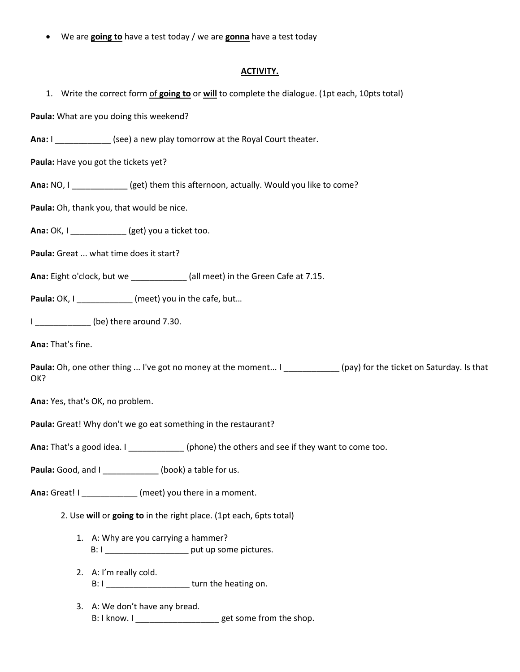We are **going to** have a test today / we are **gonna** have a test today

#### **ACTIVITY.**

1. Write the correct form of **going to** or **will** to complete the dialogue. (1pt each, 10pts total)

**Paula:** What are you doing this weekend?

**Ana:** I \_\_\_\_\_\_\_\_\_\_\_\_ (see) a new play tomorrow at the Royal Court theater.

**Paula:** Have you got the tickets yet?

**Ana:** NO, I *Societ (get)* them this afternoon, actually. Would you like to come?

**Paula:** Oh, thank you, that would be nice.

**Ana:** OK, I \_\_\_\_\_\_\_\_\_\_\_\_ (get) you a ticket too.

**Paula:** Great ... what time does it start?

**Ana:** Eight o'clock, but we \_\_\_\_\_\_\_\_\_\_\_\_ (all meet) in the Green Cafe at 7.15.

**Paula:** OK, I \_\_\_\_\_\_\_\_\_\_\_\_ (meet) you in the cafe, but…

I **be**) there around 7.30.

**Ana:** That's fine.

Paula: Oh, one other thing ... I've got no money at the moment... I \_\_\_\_\_\_\_\_\_\_\_\_(pay) for the ticket on Saturday. Is that OK?

**Ana:** Yes, that's OK, no problem.

**Paula:** Great! Why don't we go eat something in the restaurant?

**Ana:** That's a good idea. I \_\_\_\_\_\_\_\_\_\_\_\_\_\_\_\_(phone) the others and see if they want to come too.

**Paula:** Good, and I \_\_\_\_\_\_\_\_\_\_\_\_\_\_ (book) a table for us.

**Ana:** Great! I \_\_\_\_\_\_\_\_\_\_\_\_ (meet) you there in a moment.

2. Use **will** or **going to** in the right place. (1pt each, 6pts total)

- 1. A: Why are you carrying a hammer? B: I \_\_\_\_\_\_\_\_\_\_\_\_\_\_\_\_\_\_ put up some pictures.
- 2. A: I'm really cold. B: I can be turn the heating on.
- 3. A: We don't have any bread. B: I know. I \_\_\_\_\_\_\_\_\_\_\_\_\_\_\_\_\_\_\_\_\_get some from the shop.